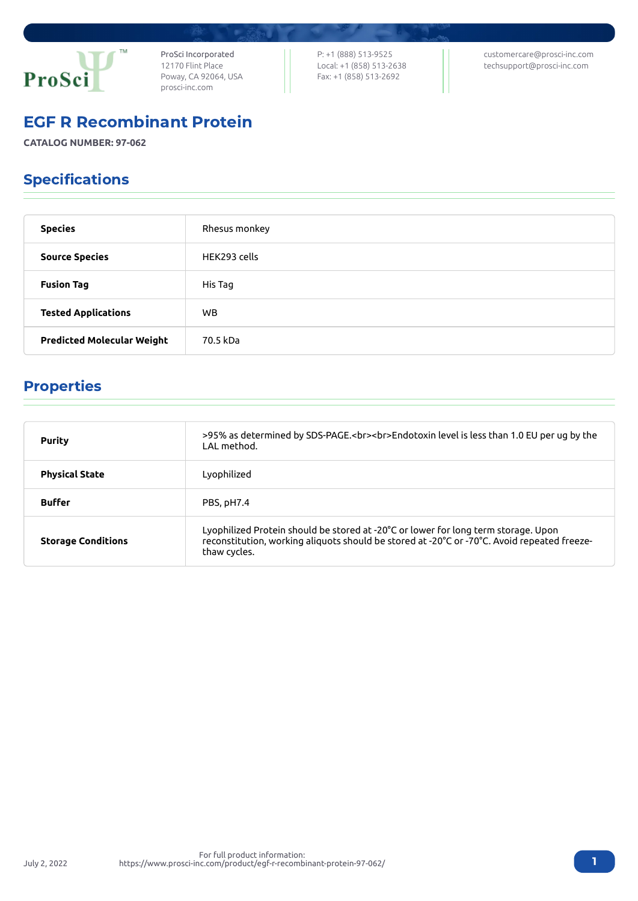

ProSci Incorporated 12170 Flint Place Poway, CA 92064, USA [prosci-inc.com](https://prosci-inc.com/)

P: +1 (888) 513-9525 Local: +1 (858) 513-2638 Fax: +1 (858) 513-2692

[customercare@prosci-inc.com](mailto:customercare@prosci-inc.com) [techsupport@prosci-inc.com](mailto:techsupport@prosci-inc.com)

### EGF R Recombinant Protein

**CATALOG NUMBER: 97-062**

# Specifications

| <b>Species</b>                    | Rhesus monkey |
|-----------------------------------|---------------|
| <b>Source Species</b>             | HEK293 cells  |
| <b>Fusion Tag</b>                 | His Tag       |
| <b>Tested Applications</b>        | <b>WB</b>     |
| <b>Predicted Molecular Weight</b> | 70.5 kDa      |

# Properties

| <b>Purity</b>             | >95% as determined by SDS-PAGE.<br><br>>>Endotoxin level is less than 1.0 EU per ug by the<br>LAL method.                                                                                         |
|---------------------------|---------------------------------------------------------------------------------------------------------------------------------------------------------------------------------------------------|
| <b>Physical State</b>     | Lyophilized                                                                                                                                                                                       |
| <b>Buffer</b>             | PBS, pH7.4                                                                                                                                                                                        |
| <b>Storage Conditions</b> | Lyophilized Protein should be stored at -20°C or lower for long term storage. Upon<br>reconstitution, working aliquots should be stored at -20°C or -70°C. Avoid repeated freeze-<br>thaw cycles. |